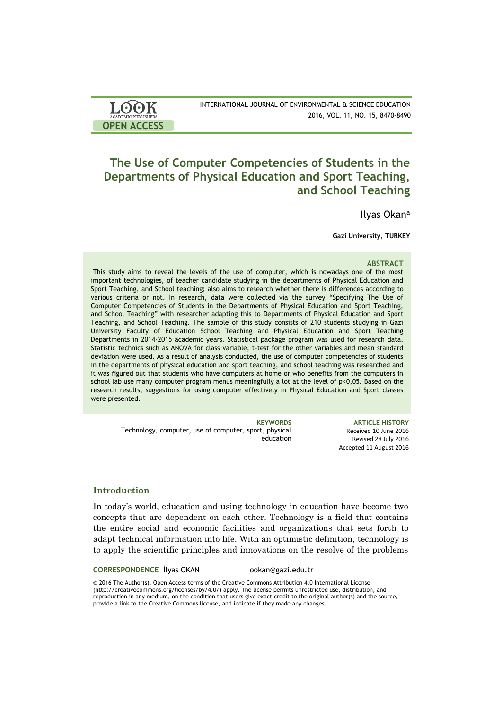| <b>LOOK</b>                | INTERNATIONAL JOURNAL OF ENVIRONMENTAL & SCIENCE EDUCATION |
|----------------------------|------------------------------------------------------------|
| <b>ACADEMIC PUBLISHERS</b> | 2016, VOL. 11, NO. 15, 8470-8490                           |
| <b>OPEN ACCESS</b>         |                                                            |

# **The Use of Computer Competencies of Students in the Departments of Physical Education and Sport Teaching, and School Teaching**

Ilyas Okan<sup>a</sup>

**Gazi University, TURKEY**

## **ABSTRACT**

This study aims to reveal the levels of the use of computer, which is nowadays one of the most important technologies, of teacher candidate studying in the departments of Physical Education and Sport Teaching, and School teaching; also aims to research whether there is differences according to various criteria or not. In research, data were collected via the survey "Specifying The Use of Computer Competencies of Students in the Departments of Physical Education and Sport Teaching, and School Teaching" with researcher adapting this to Departments of Physical Education and Sport Teaching, and School Teaching. The sample of this study consists of 210 students studying in Gazi University Faculty of Education School Teaching and Physical Education and Sport Teaching Departments in 2014-2015 academic years. Statistical package program was used for research data. Statistic technics such as ANOVA for class variable, t-test for the other variables and mean standard deviation were used. As a result of analysis conducted, the use of computer competencies of students in the departments of physical education and sport teaching, and school teaching was researched and it was figured out that students who have computers at home or who benefits from the computers in school lab use many computer program menus meaningfully a lot at the level of p<0,05. Based on the research results, suggestions for using computer effectively in Physical Education and Sport classes were presented.

Technology, computer, use of computer, sport, physical education

**KEYWORDS ARTICLE HISTORY** Received 10 June 2016 Revised 28 July 2016 Accepted 11 August 2016

# **Introduction**

In today's world, education and using technology in education have become two concepts that are dependent on each other. Technology is a field that contains the entire social and economic facilities and organizations that sets forth to adapt technical information into life. With an optimistic definition, technology is to apply the scientific principles and innovations on the resolve of the problems

**CORRESPONDENCE** İlyas OKAN ookan@gazi.edu.tr

© 2016 The Author(s). Open Access terms of the Creative Commons Attribution 4.0 International License (http://creativecommons.org/licenses/by/4.0/) apply. The license permits unrestricted use, distribution, and reproduction in any medium, on the condition that users give exact credit to the original author(s) and the source, provide a link to the Creative Commons license, and indicate if they made any changes.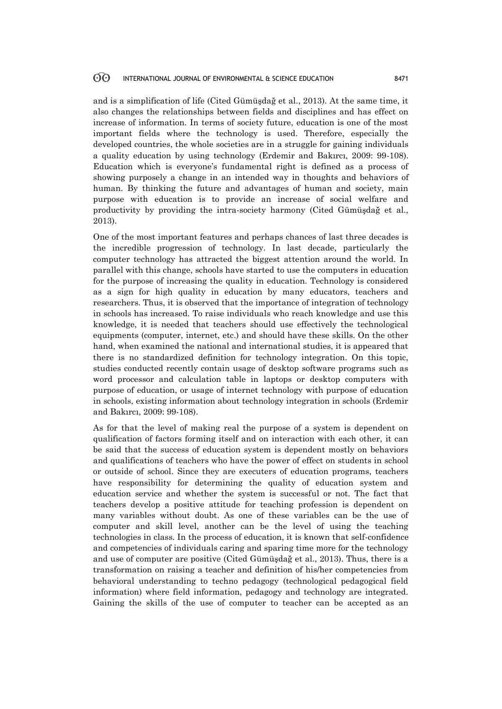and is a simplification of life (Cited Gümüşdağ et al., 2013). At the same time, it also changes the relationships between fields and disciplines and has effect on increase of information. In terms of society future, education is one of the most important fields where the technology is used. Therefore, especially the developed countries, the whole societies are in a struggle for gaining individuals a quality education by using technology (Erdemir and Bakırcı, 2009: 99-108). Education which is everyone's fundamental right is defined as a process of showing purposely a change in an intended way in thoughts and behaviors of human. By thinking the future and advantages of human and society, main purpose with education is to provide an increase of social welfare and productivity by providing the intra-society harmony (Cited Gümüşdağ et al., 2013).

One of the most important features and perhaps chances of last three decades is the incredible progression of technology. In last decade, particularly the computer technology has attracted the biggest attention around the world. In parallel with this change, schools have started to use the computers in education for the purpose of increasing the quality in education. Technology is considered as a sign for high quality in education by many educators, teachers and researchers. Thus, it is observed that the importance of integration of technology in schools has increased. To raise individuals who reach knowledge and use this knowledge, it is needed that teachers should use effectively the technological equipments (computer, internet, etc.) and should have these skills. On the other hand, when examined the national and international studies, it is appeared that there is no standardized definition for technology integration. On this topic, studies conducted recently contain usage of desktop software programs such as word processor and calculation table in laptops or desktop computers with purpose of education, or usage of internet technology with purpose of education in schools, existing information about technology integration in schools (Erdemir and Bakırcı, 2009: 99-108).

As for that the level of making real the purpose of a system is dependent on qualification of factors forming itself and on interaction with each other, it can be said that the success of education system is dependent mostly on behaviors and qualifications of teachers who have the power of effect on students in school or outside of school. Since they are executers of education programs, teachers have responsibility for determining the quality of education system and education service and whether the system is successful or not. The fact that teachers develop a positive attitude for teaching profession is dependent on many variables without doubt. As one of these variables can be the use of computer and skill level, another can be the level of using the teaching technologies in class. In the process of education, it is known that self-confidence and competencies of individuals caring and sparing time more for the technology and use of computer are positive (Cited Gümüşdağ et al., 2013). Thus, there is a transformation on raising a teacher and definition of his/her competencies from behavioral understanding to techno pedagogy (technological pedagogical field information) where field information, pedagogy and technology are integrated. Gaining the skills of the use of computer to teacher can be accepted as an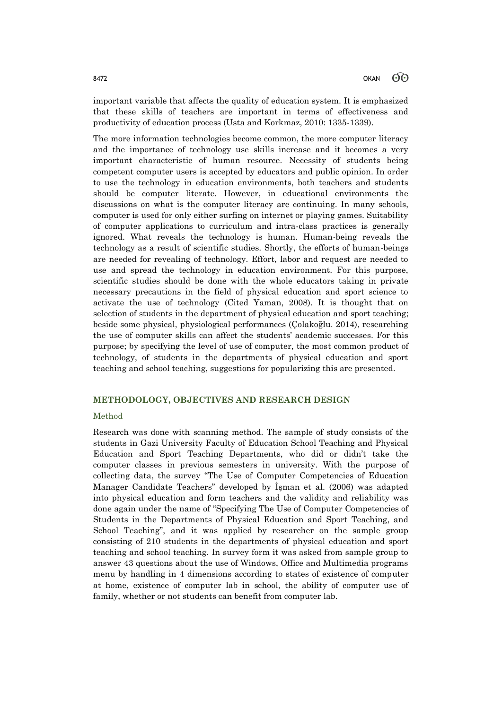important variable that affects the quality of education system. It is emphasized that these skills of teachers are important in terms of effectiveness and productivity of education process (Usta and Korkmaz, 2010: 1335-1339).

The more information technologies become common, the more computer literacy and the importance of technology use skills increase and it becomes a very important characteristic of human resource. Necessity of students being competent computer users is accepted by educators and public opinion. In order to use the technology in education environments, both teachers and students should be computer literate. However, in educational environments the discussions on what is the computer literacy are continuing. In many schools, computer is used for only either surfing on internet or playing games. Suitability of computer applications to curriculum and intra-class practices is generally ignored. What reveals the technology is human. Human-being reveals the technology as a result of scientific studies. Shortly, the efforts of human-beings are needed for revealing of technology. Effort, labor and request are needed to use and spread the technology in education environment. For this purpose, scientific studies should be done with the whole educators taking in private necessary precautions in the field of physical education and sport science to activate the use of technology (Cited Yaman, 2008). It is thought that on selection of students in the department of physical education and sport teaching; beside some physical, physiological performances (Çolakoğlu. 2014), researching the use of computer skills can affect the students' academic successes. For this purpose; by specifying the level of use of computer, the most common product of technology, of students in the departments of physical education and sport teaching and school teaching, suggestions for popularizing this are presented.

# **METHODOLOGY, OBJECTIVES AND RESEARCH DESIGN**

### Method

Research was done with scanning method. The sample of study consists of the students in Gazi University Faculty of Education School Teaching and Physical Education and Sport Teaching Departments, who did or didn't take the computer classes in previous semesters in university. With the purpose of collecting data, the survey "The Use of Computer Competencies of Education Manager Candidate Teachers" developed by İşman et al. (2006) was adapted into physical education and form teachers and the validity and reliability was done again under the name of "Specifying The Use of Computer Competencies of Students in the Departments of Physical Education and Sport Teaching, and School Teaching", and it was applied by researcher on the sample group consisting of 210 students in the departments of physical education and sport teaching and school teaching. In survey form it was asked from sample group to answer 43 questions about the use of Windows, Office and Multimedia programs menu by handling in 4 dimensions according to states of existence of computer at home, existence of computer lab in school, the ability of computer use of family, whether or not students can benefit from computer lab.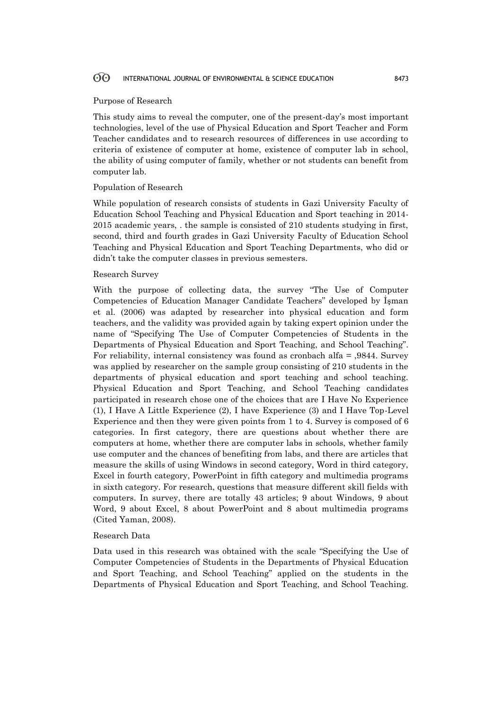### Purpose of Research

This study aims to reveal the computer, one of the present-day's most important technologies, level of the use of Physical Education and Sport Teacher and Form Teacher candidates and to research resources of differences in use according to criteria of existence of computer at home, existence of computer lab in school, the ability of using computer of family, whether or not students can benefit from computer lab.

### Population of Research

While population of research consists of students in Gazi University Faculty of Education School Teaching and Physical Education and Sport teaching in 2014- 2015 academic years, . the sample is consisted of 210 students studying in first, second, third and fourth grades in Gazi University Faculty of Education School Teaching and Physical Education and Sport Teaching Departments, who did or didn't take the computer classes in previous semesters.

## Research Survey

With the purpose of collecting data, the survey "The Use of Computer Competencies of Education Manager Candidate Teachers" developed by İşman et al. (2006) was adapted by researcher into physical education and form teachers, and the validity was provided again by taking expert opinion under the name of "Specifying The Use of Computer Competencies of Students in the Departments of Physical Education and Sport Teaching, and School Teaching". For reliability, internal consistency was found as cronbach alfa = ,9844. Survey was applied by researcher on the sample group consisting of 210 students in the departments of physical education and sport teaching and school teaching. Physical Education and Sport Teaching, and School Teaching candidates participated in research chose one of the choices that are I Have No Experience (1), I Have A Little Experience (2), I have Experience (3) and I Have Top-Level Experience and then they were given points from 1 to 4. Survey is composed of 6 categories. In first category, there are questions about whether there are computers at home, whether there are computer labs in schools, whether family use computer and the chances of benefiting from labs, and there are articles that measure the skills of using Windows in second category, Word in third category, Excel in fourth category, PowerPoint in fifth category and multimedia programs in sixth category. For research, questions that measure different skill fields with computers. In survey, there are totally 43 articles; 9 about Windows, 9 about Word, 9 about Excel, 8 about PowerPoint and 8 about multimedia programs (Cited Yaman, 2008).

### Research Data

Data used in this research was obtained with the scale "Specifying the Use of Computer Competencies of Students in the Departments of Physical Education and Sport Teaching, and School Teaching" applied on the students in the Departments of Physical Education and Sport Teaching, and School Teaching.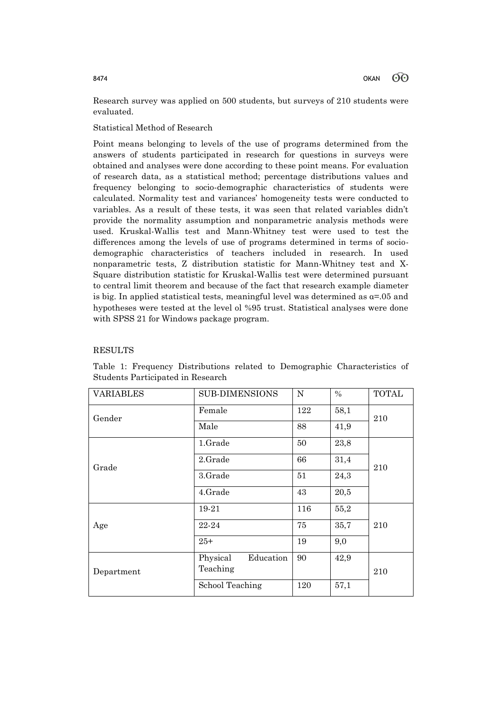Research survey was applied on 500 students, but surveys of 210 students were evaluated.

# Statistical Method of Research

Point means belonging to levels of the use of programs determined from the answers of students participated in research for questions in surveys were obtained and analyses were done according to these point means. For evaluation of research data, as a statistical method; percentage distributions values and frequency belonging to socio-demographic characteristics of students were calculated. Normality test and variances' homogeneity tests were conducted to variables. As a result of these tests, it was seen that related variables didn't provide the normality assumption and nonparametric analysis methods were used. Kruskal-Wallis test and Mann-Whitney test were used to test the differences among the levels of use of programs determined in terms of sociodemographic characteristics of teachers included in research. In used nonparametric tests, Z distribution statistic for Mann-Whitney test and X-Square distribution statistic for Kruskal-Wallis test were determined pursuant to central limit theorem and because of the fact that research example diameter is big. In applied statistical tests, meaningful level was determined as  $\alpha$ =.05 and hypotheses were tested at the level ol %95 trust. Statistical analyses were done with SPSS 21 for Windows package program.

# RESULTS

| <b>VARIABLES</b> | <b>SUB-DIMENSIONS</b> | N   | $\%$ | <b>TOTAL</b> |  |
|------------------|-----------------------|-----|------|--------------|--|
| Gender           | Female                | 122 | 58,1 | 210          |  |
|                  | Male                  | 88  | 41,9 |              |  |
|                  | 1.Grade               | 50  | 23,8 |              |  |
| Grade            | 2.Grade               | 66  | 31,4 | 210          |  |
|                  | 3.Grade               | 51  | 24,3 |              |  |
|                  | 4.Grade               | 43  | 20,5 |              |  |
|                  | 19-21                 | 116 | 55,2 |              |  |
| Age              | 22-24                 | 75  | 35,7 | 210          |  |
|                  | $25+$                 | 19  | 9,0  |              |  |
|                  | Physical<br>Education | 90  | 42,9 |              |  |
| Department       | Teaching              |     |      | 210          |  |
|                  | School Teaching       | 120 | 57,1 |              |  |

Table 1: Frequency Distributions related to Demographic Characteristics of Students Participated in Research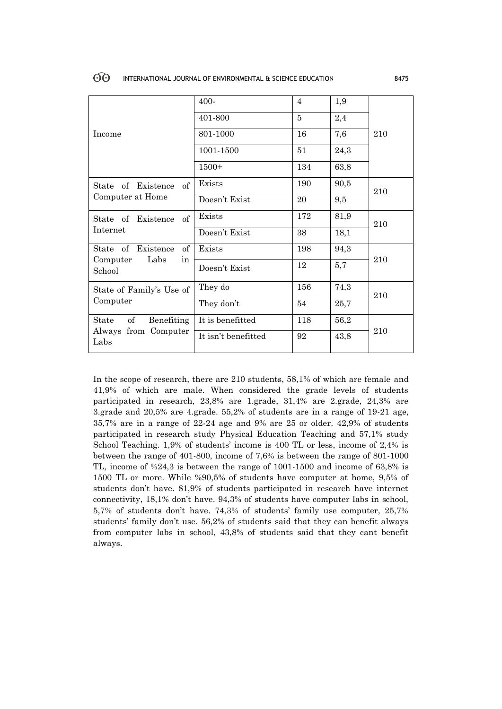|                                  | 400-                | $\overline{4}$ | 1,9  |     |
|----------------------------------|---------------------|----------------|------|-----|
|                                  | 401-800             | $\overline{5}$ | 2,4  |     |
| Income                           | 801-1000            | 16             | 7,6  | 210 |
|                                  | 1001-1500           | 51             | 24,3 |     |
|                                  | $1500+$             | 134            | 63,8 |     |
| of<br>State of Existence         | Exists              | 190            | 90,5 | 210 |
| Computer at Home                 | Doesn't Exist       | 20             | 9,5  |     |
| of<br>State of Existence         | Exists              | 172            | 81,9 | 210 |
| Internet                         | Doesn't Exist       | 38             | 18,1 |     |
| State of Existence<br>of         | Exists              | 198            | 94,3 |     |
| Labs<br>Computer<br>in<br>School | Doesn't Exist       | 12             | 5,7  | 210 |
| State of Family's Use of         | They do             | 156            | 74,3 | 210 |
| Computer                         | They don't          | 54             | 25,7 |     |
| of<br>Benefiting<br>State        | It is benefitted    | 118            | 56,2 |     |
| Always from Computer<br>Labs     | It isn't benefitted | 92             | 43,8 | 210 |

In the scope of research, there are 210 students, 58,1% of which are female and 41,9% of which are male. When considered the grade levels of students participated in research, 23,8% are 1.grade, 31,4% are 2.grade, 24,3% are 3.grade and 20,5% are 4.grade. 55,2% of students are in a range of 19-21 age, 35,7% are in a range of 22-24 age and 9% are 25 or older. 42,9% of students participated in research study Physical Education Teaching and 57,1% study School Teaching. 1,9% of students' income is 400 TL or less, income of 2,4% is between the range of 401-800, income of 7,6% is between the range of 801-1000 TL, income of %24,3 is between the range of 1001-1500 and income of 63,8% is 1500 TL or more. While %90,5% of students have computer at home, 9,5% of students don't have. 81,9% of students participated in research have internet connectivity, 18,1% don't have. 94,3% of students have computer labs in school, 5,7% of students don't have. 74,3% of students' family use computer, 25,7% students' family don't use. 56,2% of students said that they can benefit always from computer labs in school, 43,8% of students said that they cant benefit always.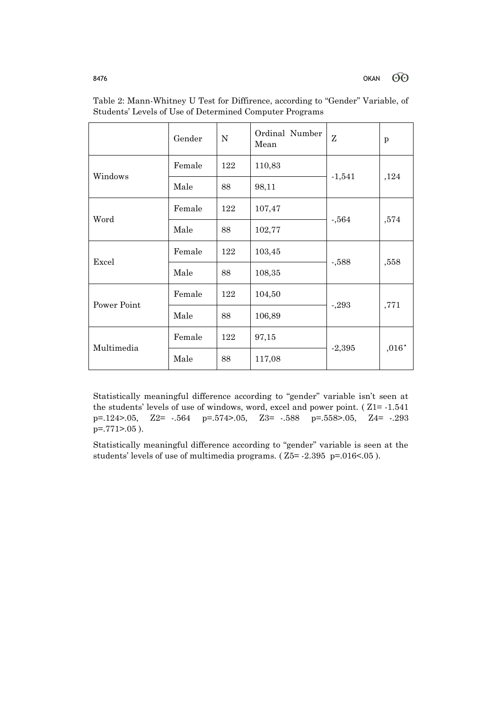|                                                       | Gender                                   | ${\rm N}$ | Ordinal Number<br>Mean | Z        | p                |
|-------------------------------------------------------|------------------------------------------|-----------|------------------------|----------|------------------|
|                                                       | Female                                   | 122       | 110,83                 |          |                  |
|                                                       | Male                                     | 88        | 98,11                  | $-1,541$ | ,124             |
|                                                       | Female                                   | 122       | 107,47                 |          | ,574             |
|                                                       | Male                                     | 88        | 102,77                 | $-0.564$ |                  |
|                                                       | Female                                   | 122       | 103,45                 | $-0.588$ | ,558             |
|                                                       | Male<br>Female<br>Male<br>Female<br>Male | 88        | 108,35                 |          |                  |
|                                                       |                                          | 122       | 104,50                 | $-293$   |                  |
| Windows<br>Word<br>Excel<br>Power Point<br>Multimedia |                                          | 88        | 106,89                 |          | ,771             |
|                                                       |                                          | 122       | 97,15                  | $-2,395$ | $,016\sp{\star}$ |
|                                                       |                                          | 88        | 117,08                 |          |                  |

Table 2: Mann-Whitney U Test for Diffirence, according to "Gender" Variable, of Students' Levels of Use of Determined Computer Programs

Statistically meaningful difference according to "gender" variable isn't seen at the students' levels of use of windows, word, excel and power point. ( Z1= -1.541 p=.124>.05, Z2= -.564 p=.574>.05, Z3= -.588 p=.558>.05, Z4= -.293  $p=.771-.05$ ).

Statistically meaningful difference according to "gender" variable is seen at the students' levels of use of multimedia programs. ( Z5= -2.395 p=.016<.05 ).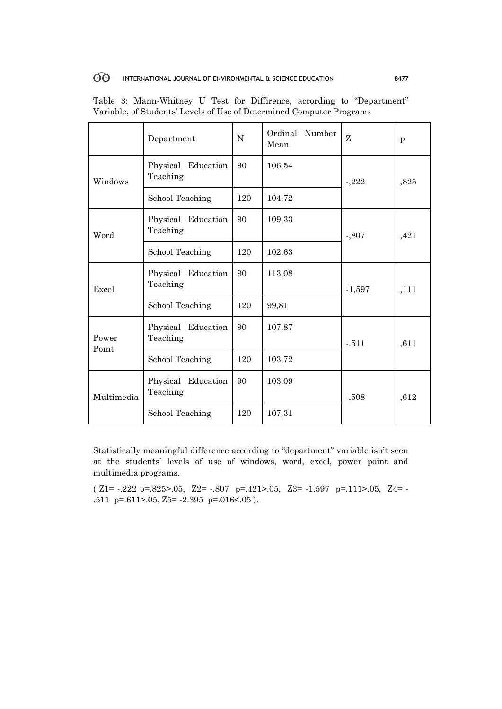|                | Department                     | ${\bf N}$                                                                                            | Ordinal Number<br>Mean | Z        | p    |
|----------------|--------------------------------|------------------------------------------------------------------------------------------------------|------------------------|----------|------|
| Windows        | Physical Education<br>Teaching | 90                                                                                                   | 106,54                 | $-222$   | ,825 |
|                | School Teaching                | 120                                                                                                  | 104,72                 |          |      |
| Word           | Physical Education<br>Teaching | 90                                                                                                   | 109,33                 | $-0.807$ | ,421 |
| Excel          | School Teaching                | 120                                                                                                  | 102,63                 |          |      |
|                | Physical Education<br>Teaching | 90                                                                                                   | 113,08                 | $-1,597$ | ,111 |
|                | School Teaching                | 120<br>99,81<br>90<br>107,87<br>$-511$<br>120<br>103,72<br>90<br>103,09<br>$-0.508$<br>120<br>107,31 |                        |          |      |
| Power<br>Point | Physical Education<br>Teaching |                                                                                                      |                        |          | ,611 |
|                | School Teaching                |                                                                                                      |                        |          |      |
| Multimedia     | Physical Education<br>Teaching |                                                                                                      |                        |          | ,612 |
|                | School Teaching                |                                                                                                      |                        |          |      |

|  | Table 3: Mann-Whitney U Test for Diffirence, according to "Department" |  |  |  |  |
|--|------------------------------------------------------------------------|--|--|--|--|
|  | Variable, of Students' Levels of Use of Determined Computer Programs   |  |  |  |  |

Statistically meaningful difference according to "department" variable isn't seen at the students' levels of use of windows, word, excel, power point and multimedia programs.

 $\label{eq:Z1} \mbox{(-7.222 p=0.825)} \mbox{(-8.25)} \mbox{(-1.597 p=0.421)} \mbox{(-1.597 p=0.111)} \mbox{(-1.597 p=0.111)} \mbox{(-1.597 p=0.111)} \mbox{(-1.597 p=0.111)} \mbox{(-1.597 p=0.111)} \mbox{(-1.597 p=0.111)} \mbox{(-1.597 p=0.111)} \mbox{(-1.597 p=0.111)} \mbox{(-1.597 p=0.111)} \mbox{$ .511 p=.611>.05, Z5= -2.395 p=.016<.05 ).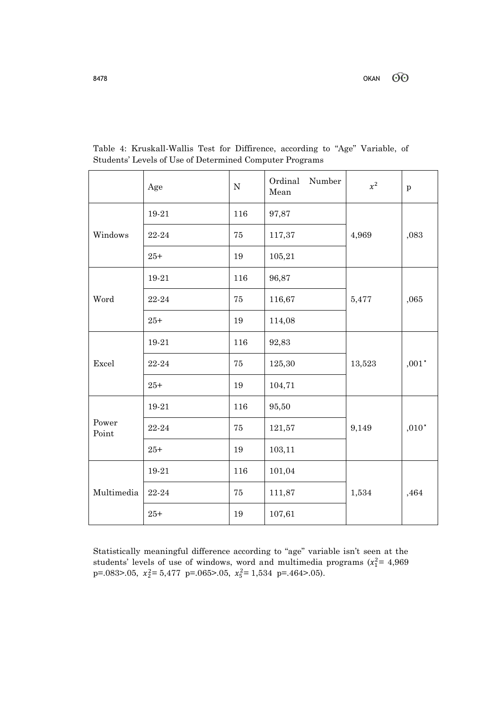|                | Age       | ${\bf N}$ | Ordinal<br>Number<br>Mean | $x^2$  | $\mathbf{p}$       |
|----------------|-----------|-----------|---------------------------|--------|--------------------|
|                | 19-21     | 116       | 97,87                     |        |                    |
| Windows        | 22-24     | $75\,$    | 117,37                    | 4,969  | ,083               |
|                | $25 +$    | 19        | 105,21                    |        |                    |
|                | 19-21     | 116       | 96,87                     |        |                    |
| Word           | 22-24     | 75        | 116,67                    | 5,477  | ,065               |
|                | $25 +$    | 19        | 114,08                    |        |                    |
|                | 19-21     | 116       | 92,83                     |        |                    |
| Excel          | 22-24     | 75        | 125,30                    | 13,523 | $,001\,^{\star}$   |
|                | $25 +$    | 19        | 104,71                    |        |                    |
|                | 19-21     | 116       | 95,50                     |        |                    |
| Power<br>Point | 22-24     | $75\,$    | 121,57                    | 9,149  | ${,}010^{\,\star}$ |
|                | $25 +$    | 19        | 103,11                    |        |                    |
|                | 19-21     | 116       | 101,04                    |        |                    |
| Multimedia     | $22 - 24$ | $75\,$    | 111,87                    | 1,534  | ,464               |
|                | $25 +$    | 19        | 107,61                    |        |                    |

Table 4: Kruskall-Wallis Test for Diffirence, according to "Age" Variable, of Students' Levels of Use of Determined Computer Programs

Statistically meaningful difference according to "age" variable isn't seen at the students' levels of use of windows, word and multimedia programs  $(x_1^2 = 4,969)$ p=.083>.05,  $x_2^2 = 5,477$  p=.065>.05,  $x_5^2 = 1,534$  p=.464>.05).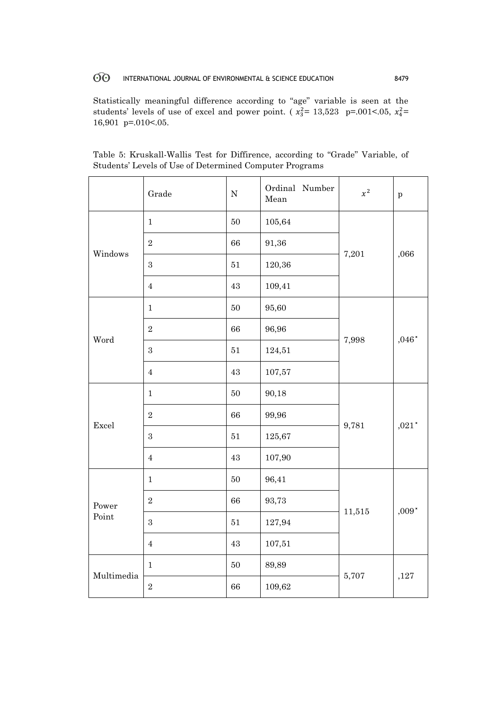Statistically meaningful difference according to "age" variable is seen at the students' levels of use of excel and power point. ( $x_3^2 = 13,523$  p=.001<.05,  $x_4^2 =$ 16,901 p=.010<.05.

|                                   | Grade            | ${\bf N}$ | Ordinal Number<br>Mean | $x^2$  | $\mathbf{p}$       |
|-----------------------------------|------------------|-----------|------------------------|--------|--------------------|
| Windows<br>Word<br>Excel<br>Power | $\mathbf{1}$     | $50\,$    | 105,64                 |        |                    |
|                                   | $\sqrt{2}$       | 66        | 91,36                  |        |                    |
|                                   | $\boldsymbol{3}$ | $51\,$    | 120,36                 | 7,201  | ,066               |
| Point<br>Multimedia               | $\overline{4}$   | $\rm 43$  | 109,41                 |        |                    |
|                                   | $\mathbf{1}$     | $50\,$    | 95,60                  |        |                    |
|                                   | $\,2$            | $66\,$    | 96,96                  |        | ${,}046^{\,\star}$ |
|                                   | $\,3$            | $51\,$    | 124,51                 | 7,998  |                    |
|                                   | $\overline{4}$   | $43\,$    | 107,57                 |        |                    |
|                                   | $\mathbf{1}$     | $50\,$    | 90,18                  |        |                    |
|                                   | $\,2$            | 66        | 99,96                  |        |                    |
|                                   | $\boldsymbol{3}$ | $51\,$    | 125,67                 | 9,781  | ${,}021^{\star}$   |
|                                   | $\overline{4}$   | $43\,$    | 107,90                 |        |                    |
|                                   | $\mathbf{1}$     | $50\,$    | 96,41                  |        |                    |
|                                   | $\,2$            | 66        | 93,73                  |        | $,009*$            |
|                                   | $\,3$            | $51\,$    | 127,94                 | 11,515 |                    |
|                                   | $\overline{4}$   | $43\,$    | 107,51                 |        |                    |
|                                   | $\mathbf{1}$     | $50\,$    | 89,89                  |        |                    |
|                                   | $\,2$            | 66        | 109,62                 | 5,707  | ,127               |

Table 5: Kruskall-Wallis Test for Diffirence, according to "Grade" Variable, of Students' Levels of Use of Determined Computer Programs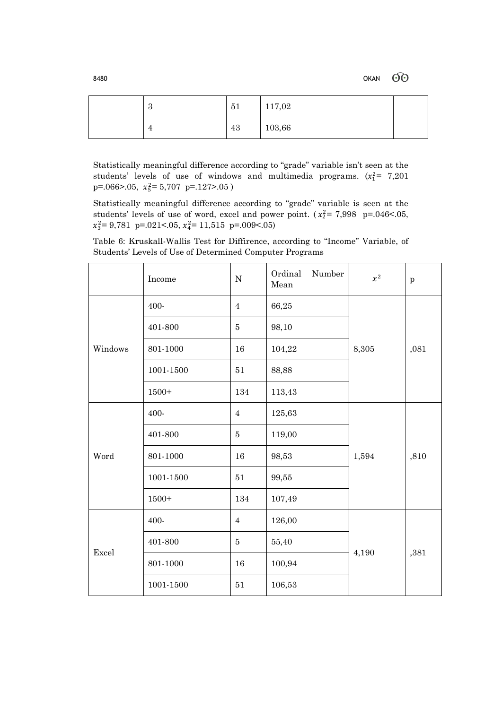$60^{\circ}$ 8480 OKAN

| c<br>↩ | 51 | 117,02 |  |
|--------|----|--------|--|
|        | 43 | 103,66 |  |

Statistically meaningful difference according to "grade" variable isn't seen at the students' levels of use of windows and multimedia programs.  $(x_1^2 = 7,201)$  $p=.066>0.05$ ,  $x_5^2=5,707$   $p=.127>0.05$ )

Statistically meaningful difference according to "grade" variable is seen at the students' levels of use of word, excel and power point.  $(x_2^2 = 7.998 \text{ p} = .046 < .05,$  $x_3^2 = 9{,}781$  p= $.021 < .05$ ,  $x_4^2 = 11{,}515$  p= $.009 < .05$ )

Table 6: Kruskall-Wallis Test for Diffirence, according to "Income" Variable, of Students' Levels of Use of Determined Computer Programs

|         | Income    | $\mathbf N$    | Ordinal<br>Number<br>Mean | $x^2$ | $\mathbf{p}$ |
|---------|-----------|----------------|---------------------------|-------|--------------|
|         | 400-      | $\overline{4}$ | 66,25                     |       |              |
|         | 401-800   | $\bf 5$        | 98,10                     |       |              |
| Windows | 801-1000  | 16             | 104,22                    | 8,305 | ,081         |
|         | 1001-1500 | 51             | 88,88                     |       |              |
|         | $1500+$   | 134            | 113,43                    |       |              |
|         | 400-      | $\overline{4}$ | 125,63                    |       |              |
|         | 401-800   | $\bf 5$        | 119,00                    |       |              |
| Word    | 801-1000  | 16             | 98,53                     | 1,594 | ,810         |
|         | 1001-1500 | $51\,$         | 99,55                     |       |              |
|         | $1500+$   | 134            | 107,49                    |       |              |
|         | 400-      | $\overline{4}$ | 126,00                    |       |              |
| Excel   | 401-800   | $\bf 5$        | 55,40                     |       | ,381         |
|         | 801-1000  | $16\,$         | 100,94                    | 4,190 |              |
|         | 1001-1500 | $51\,$         | 106,53                    |       |              |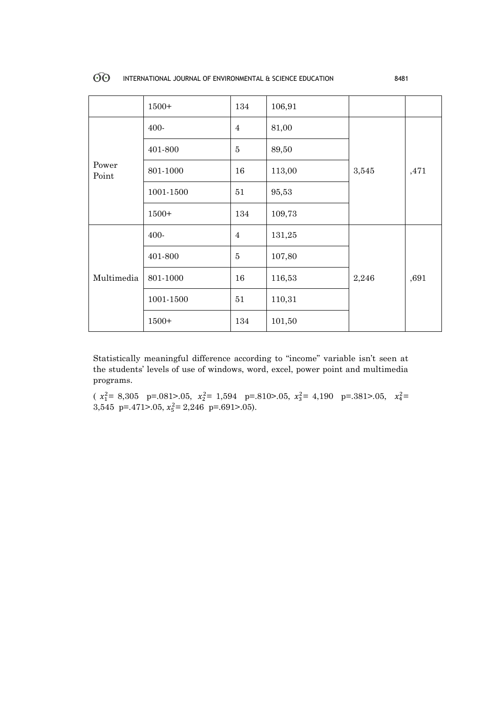|                | $1500+$   | 134            | 106,91 |       |      |
|----------------|-----------|----------------|--------|-------|------|
|                | 400-      | $\overline{4}$ | 81,00  |       |      |
|                | 401-800   | $\overline{5}$ | 89,50  |       |      |
| Power<br>Point | 801-1000  | 16             | 113,00 | 3,545 | ,471 |
|                | 1001-1500 | 51             | 95,53  |       |      |
|                | $1500+$   | 134            | 109,73 |       |      |
|                | 400-      | $\overline{4}$ | 131,25 |       |      |
|                | 401-800   | $\overline{5}$ | 107,80 |       |      |
| Multimedia     | 801-1000  | 16             | 116,53 | 2,246 | ,691 |
|                | 1001-1500 | 51             | 110,31 |       |      |
|                | $1500+$   | 134            | 101,50 |       |      |

Statistically meaningful difference according to "income" variable isn't seen at the students' levels of use of windows, word, excel, power point and multimedia programs.

( <sup>1</sup> <sup>2</sup>= 8,305 p=.081>.05, <sup>2</sup> <sup>2</sup>= 1,594 p=.810>.05, <sup>3</sup> <sup>2</sup>= 4,190 p=.381>.05, <sup>4</sup> <sup>2</sup>= 3,545 p=.471>.05,  $x_5^2 = 2,246$  p=.691>.05).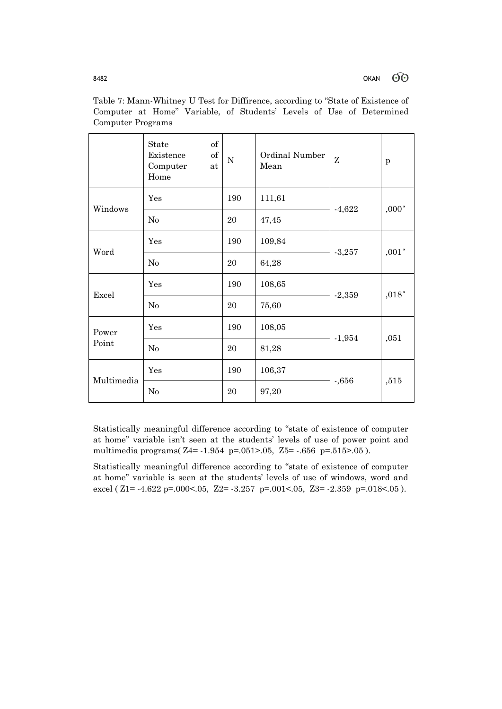|            | of<br>State<br>of<br>Existence<br>Computer<br>at<br>Home | ${\bf N}$                                                           | Ordinal Number<br>Mean | Z        | p       |
|------------|----------------------------------------------------------|---------------------------------------------------------------------|------------------------|----------|---------|
| Windows    | Yes                                                      | 190                                                                 | 111,61                 |          | $,000*$ |
|            | No                                                       | $-4,622$<br>20<br>47,45<br>109,84<br>190<br>$-3,257$<br>20<br>64,28 |                        |          |         |
| Word       | Yes                                                      |                                                                     |                        |          | $,001"$ |
|            | No                                                       |                                                                     |                        |          |         |
| Excel      | Yes                                                      | 190                                                                 | 108,65                 | $-2,359$ | $,018*$ |
|            | $\rm No$                                                 | 20                                                                  | 75,60                  |          |         |
| Power      | Yes                                                      | 190                                                                 | 108,05                 |          |         |
| Point      | No                                                       | 20                                                                  | 81,28                  | $-1,954$ | ,051    |
| Multimedia | Yes                                                      | 190                                                                 | 106,37                 |          |         |
|            | No                                                       | 20                                                                  | 97,20                  | $-0.656$ | ,515    |

Table 7: Mann-Whitney U Test for Diffirence, according to "State of Existence of Computer at Home" Variable, of Students' Levels of Use of Determined Computer Programs

Statistically meaningful difference according to "state of existence of computer at home" variable isn't seen at the students' levels of use of power point and multimedia programs( Z4= -1.954 p=.051>.05, Z5= -.656 p=.515>.05 ).

Statistically meaningful difference according to "state of existence of computer at home" variable is seen at the students' levels of use of windows, word and excel ( $Z1 = -4.622$  p=.000 < 05,  $Z2 = -3.257$  p=.001 < 05,  $Z3 = -2.359$  p=.018 < 05).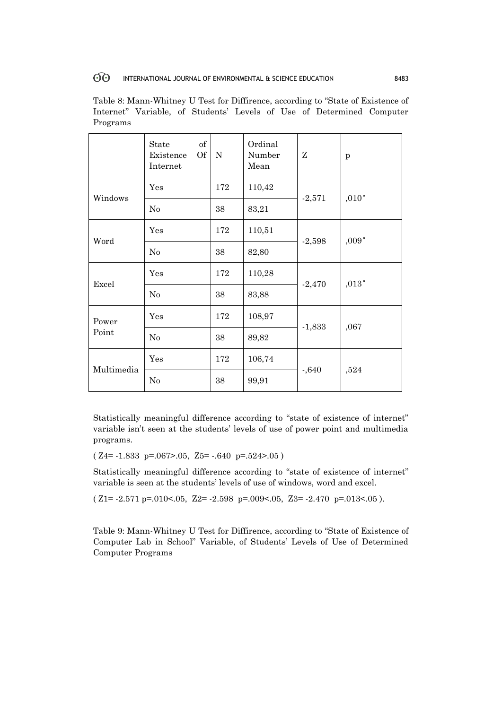Table 8: Mann-Whitney U Test for Diffirence, according to "State of Existence of Internet" Variable, of Students' Levels of Use of Determined Computer Programs

|                | of<br>State<br>Of<br>Existence<br>Internet | $\mathbf N$ | Ordinal<br>Number<br>Mean | Ζ        | p       |
|----------------|--------------------------------------------|-------------|---------------------------|----------|---------|
| Windows        | Yes                                        | 172         | 110,42                    | $-2,571$ | $,010*$ |
|                | $\rm No$                                   | 38          | 83,21                     |          |         |
| Word           | Yes                                        | 172         | 110,51                    | $-2,598$ | $,009*$ |
|                | $\rm No$                                   | 38          | 82,80                     |          |         |
| Excel          | Yes                                        | 172         | 110,28                    |          | $,013*$ |
|                | No                                         | 38          | 83,88                     | $-2,470$ |         |
| Power<br>Point | Yes                                        | 172         | 108,97                    |          | ,067    |
|                | No                                         | 38          | 89,82                     | $-1,833$ |         |
| Multimedia     | Yes                                        | 172         | 106,74                    |          | ,524    |
|                | No                                         | 38          | 99,91                     | $-.640$  |         |

Statistically meaningful difference according to "state of existence of internet" variable isn't seen at the students' levels of use of power point and multimedia programs.

 $(Z4=-1.833 \text{ p} = .067$  > .05,  $Z5 = -.640 \text{ p} = .524$  > .05)

Statistically meaningful difference according to "state of existence of internet" variable is seen at the students' levels of use of windows, word and excel.

 $(Z1=-2.571 \text{ p} = .010<0.05, Z2=-2.598 \text{ p} = .009<0.05, Z3=-2.470 \text{ p} = .013<0.05$ ).

Table 9: Mann-Whitney U Test for Diffirence, according to "State of Existence of Computer Lab in School" Variable, of Students' Levels of Use of Determined Computer Programs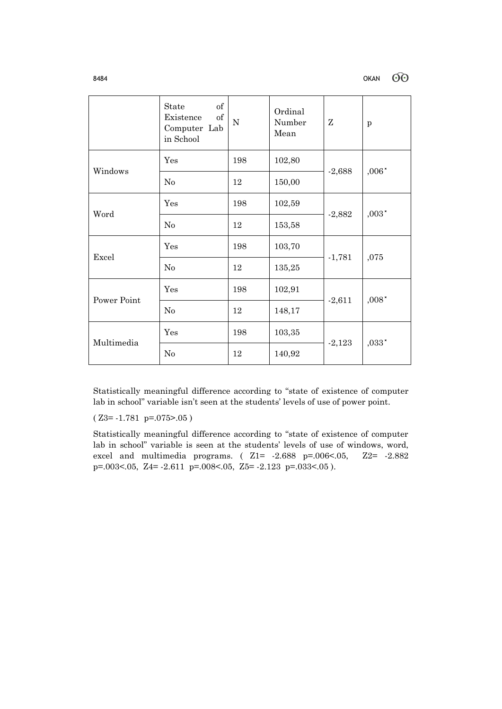|             | $\sigma$<br>State<br>$\sigma$<br>Existence<br>Computer Lab<br>in School | ${\bf N}$ | Ordinal<br>Number<br>Mean | Z        | p       |
|-------------|-------------------------------------------------------------------------|-----------|---------------------------|----------|---------|
| Windows     | Yes                                                                     | 198       | 102,80                    |          | $,006"$ |
|             | No                                                                      | 12        | 150,00                    | $-2,688$ |         |
| Word        | Yes                                                                     | 198       | 102,59                    | $-2,882$ | $,003*$ |
|             | No                                                                      | 12        | 153,58                    |          |         |
| Excel       | Yes                                                                     | 198       | 103,70                    | $-1,781$ | ,075    |
|             | No                                                                      | 12        | 135,25                    |          |         |
| Power Point | Yes                                                                     | 198       | 102,91                    | $-2,611$ | $,008"$ |
|             | No                                                                      | 12        | 148,17                    |          |         |
| Multimedia  | Yes                                                                     | 198       | 103,35                    | $-2,123$ | $,033*$ |
|             | No                                                                      | 12        | 140,92                    |          |         |

Statistically meaningful difference according to "state of existence of computer lab in school" variable isn't seen at the students' levels of use of power point.

 $(Z3= -1.781 p=.075> .05)$ 

Statistically meaningful difference according to "state of existence of computer lab in school" variable is seen at the students' levels of use of windows, word, excel and multimedia programs. ( Z1= -2.688 p=.006<.05, Z2= -2.882 p=.003<.05, Z4= -2.611 p=.008<.05, Z5= -2.123 p=.033<.05 ).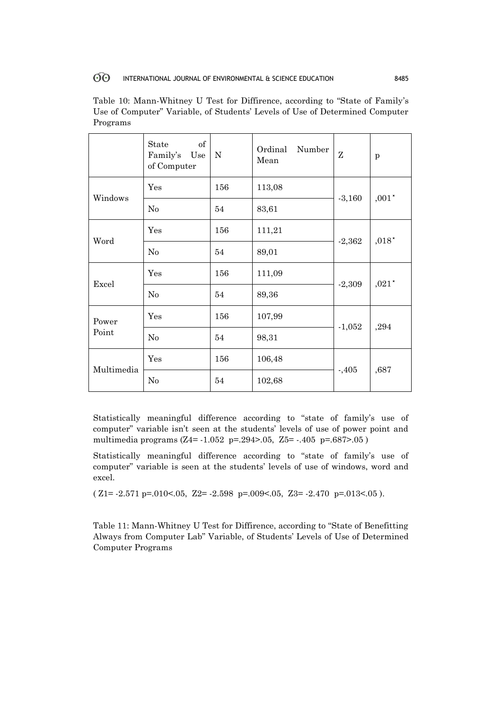|                | of<br>State<br>Family's<br>Use<br>of Computer | ${\bf N}$ | Number<br>Ordinal<br>Mean | Z        | p                           |
|----------------|-----------------------------------------------|-----------|---------------------------|----------|-----------------------------|
| Windows        | Yes                                           | 156       | 113,08                    | $-3,160$ | $,001\,^*$                  |
|                | $\rm No$                                      | 54        | 83,61                     |          |                             |
| Word           | Yes                                           | 156       | 111,21                    | $-2,362$ | $,018$ $^{\star}$           |
|                | N <sub>0</sub>                                | 54        | 89,01                     |          |                             |
| Excel          | Yes                                           | 156       | 111,09                    |          | ${,}021\ensuremath{^\star}$ |
|                | N <sub>o</sub>                                | 54        | 89,36                     | $-2,309$ |                             |
| Power<br>Point | Yes                                           | 156       | 107,99                    |          | ,294                        |
|                | $\rm No$                                      | 54        | 98,31                     | $-1,052$ |                             |
| Multimedia     | Yes                                           | 156       | 106,48                    |          | ,687                        |
|                | No                                            | 54        | 102,68                    | $-0.405$ |                             |

Table 10: Mann-Whitney U Test for Diffirence, according to "State of Family's Use of Computer" Variable, of Students' Levels of Use of Determined Computer Programs

Statistically meaningful difference according to "state of family's use of computer" variable isn't seen at the students' levels of use of power point and multimedia programs (Z4= -1.052 p=.294>.05, Z5= -.405 p=.687>.05 )

Statistically meaningful difference according to "state of family's use of computer" variable is seen at the students' levels of use of windows, word and excel.

 $(Z1=-2.571 \text{ p} = .010<0.05, Z2=-2.598 \text{ p} = .009<0.05, Z3=-2.470 \text{ p} = .013<0.05$ ).

Table 11: Mann-Whitney U Test for Diffirence, according to "State of Benefitting Always from Computer Lab" Variable, of Students' Levels of Use of Determined Computer Programs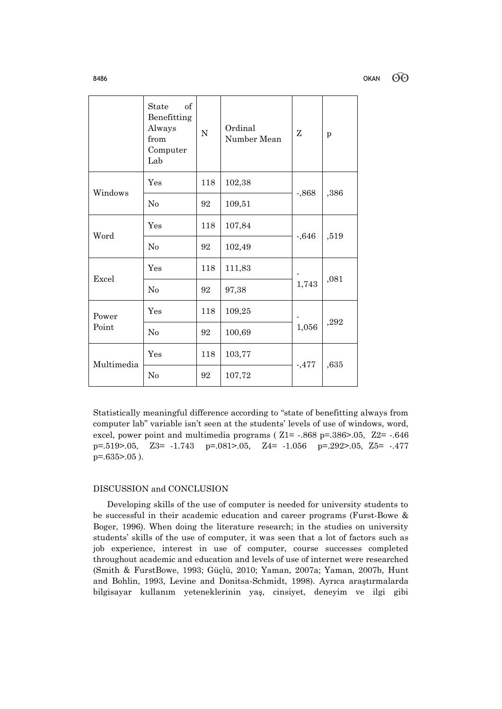60

|                | of<br>State<br>Benefitting<br>Always<br>from<br>Computer<br>Lab | N   | Ordinal<br>Number Mean | Z        | p    |
|----------------|-----------------------------------------------------------------|-----|------------------------|----------|------|
| Windows        | Yes                                                             | 118 | 102,38                 | $-0.868$ | ,386 |
|                | $\rm No$                                                        | 92  | 109,51                 |          |      |
| Word           | Yes                                                             | 118 | 107,84                 | $-0.646$ | ,519 |
|                | $\rm No$                                                        | 92  | 102,49                 |          |      |
| Excel          | Yes                                                             | 118 | 111,83                 |          | ,081 |
|                | No                                                              | 92  | 97,38                  | 1,743    |      |
| Power<br>Point | Yes                                                             | 118 | 109,25                 |          | ,292 |
|                | No                                                              | 92  | 100,69                 | 1,056    |      |
| Multimedia     | Yes                                                             | 118 | 103,77                 | $-0.477$ | ,635 |
|                | N <sub>o</sub>                                                  | 92  | 107,72                 |          |      |

Statistically meaningful difference according to "state of benefitting always from computer lab" variable isn't seen at the students' levels of use of windows, word, excel, power point and multimedia programs ( Z1= -.868 p=.386>.05, Z2= -.646 p=.519>.05, Z3= -1.743 p=.081>.05, Z4= -1.056 p=.292>.05, Z5= -.477 p=.635>.05 ).

# DISCUSSION and CONCLUSION

 Developing skills of the use of computer is needed for university students to be successful in their academic education and career programs (Furst-Bowe & Boger, 1996). When doing the literature research; in the studies on university students' skills of the use of computer, it was seen that a lot of factors such as job experience, interest in use of computer, course successes completed throughout academic and education and levels of use of internet were researched (Smith & FurstBowe, 1993; Güçlü, 2010; Yaman, 2007a; Yaman, 2007b, Hunt and Bohlin, 1993, Levine and Donitsa-Schmidt, 1998). Ayrıca araştırmalarda bilgisayar kullanım yeteneklerinin yaş, cinsiyet, deneyim ve ilgi gibi

8486 OKAN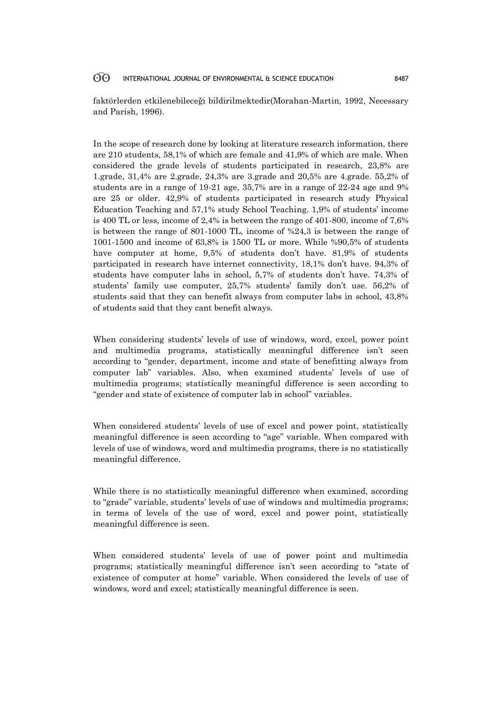faktörlerden etkilenebileceği bildirilmektedir(Morahan-Martin, 1992, Necessary and Parish, 1996).

In the scope of research done by looking at literature research information, there are 210 students, 58,1% of which are female and 41,9% of which are male. When considered the grade levels of students participated in research, 23,8% are 1.grade, 31,4% are 2.grade, 24,3% are 3.grade and 20,5% are 4.grade. 55,2% of students are in a range of 19-21 age, 35,7% are in a range of 22-24 age and 9% are 25 or older. 42,9% of students participated in research study Physical Education Teaching and 57,1% study School Teaching. 1,9% of students' income is 400 TL or less, income of 2,4% is between the range of 401-800, income of 7,6% is between the range of 801-1000 TL, income of %24,3 is between the range of 1001-1500 and income of 63,8% is 1500 TL or more. While %90,5% of students have computer at home, 9,5% of students don't have. 81,9% of students participated in research have internet connectivity, 18,1% don't have. 94,3% of students have computer labs in school, 5,7% of students don't have. 74,3% of students' family use computer, 25,7% students' family don't use. 56,2% of students said that they can benefit always from computer labs in school, 43,8% of students said that they cant benefit always.

When considering students' levels of use of windows, word, excel, power point and multimedia programs, statistically meaningful difference isn't seen according to "gender, department, income and state of benefitting always from computer lab" variables. Also, when examined students' levels of use of multimedia programs; statistically meaningful difference is seen according to "gender and state of existence of computer lab in school" variables.

When considered students' levels of use of excel and power point, statistically meaningful difference is seen according to "age" variable. When compared with levels of use of windows, word and multimedia programs, there is no statistically meaningful difference.

While there is no statistically meaningful difference when examined, according to "grade" variable, students' levels of use of windows and multimedia programs; in terms of levels of the use of word, excel and power point, statistically meaningful difference is seen.

When considered students' levels of use of power point and multimedia programs; statistically meaningful difference isn't seen according to "state of existence of computer at home" variable. When considered the levels of use of windows, word and excel; statistically meaningful difference is seen.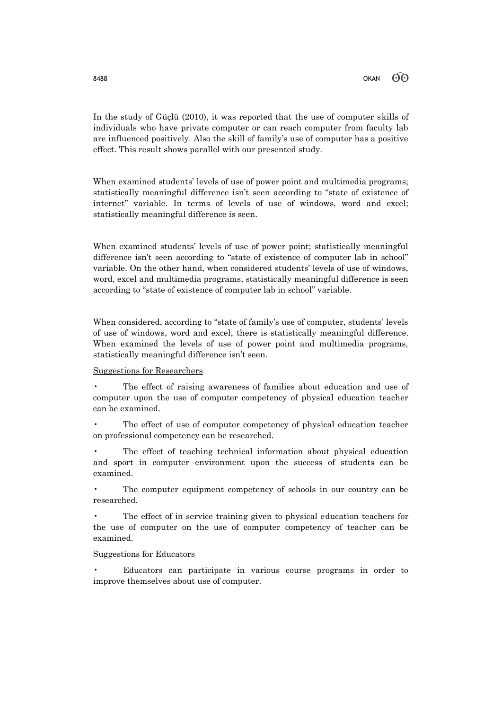In the study of Güçlü (2010), it was reported that the use of computer skills of individuals who have private computer or can reach computer from faculty lab are influenced positively. Also the skill of family's use of computer has a positive effect. This result shows parallel with our presented study.

When examined students' levels of use of power point and multimedia programs; statistically meaningful difference isn't seen according to "state of existence of internet" variable. In terms of levels of use of windows, word and excel; statistically meaningful difference is seen.

When examined students' levels of use of power point; statistically meaningful difference isn't seen according to "state of existence of computer lab in school" variable. On the other hand, when considered students' levels of use of windows, word, excel and multimedia programs, statistically meaningful difference is seen according to "state of existence of computer lab in school" variable.

When considered, according to "state of family's use of computer, students' levels of use of windows, word and excel, there is statistically meaningful difference. When examined the levels of use of power point and multimedia programs, statistically meaningful difference isn't seen.

# Suggestions for Researchers

• The effect of raising awareness of families about education and use of computer upon the use of computer competency of physical education teacher can be examined.

The effect of use of computer competency of physical education teacher on professional competency can be researched.

The effect of teaching technical information about physical education and sport in computer environment upon the success of students can be examined.

The computer equipment competency of schools in our country can be researched.

The effect of in service training given to physical education teachers for the use of computer on the use of computer competency of teacher can be examined.

# Suggestions for Educators

• Educators can participate in various course programs in order to improve themselves about use of computer.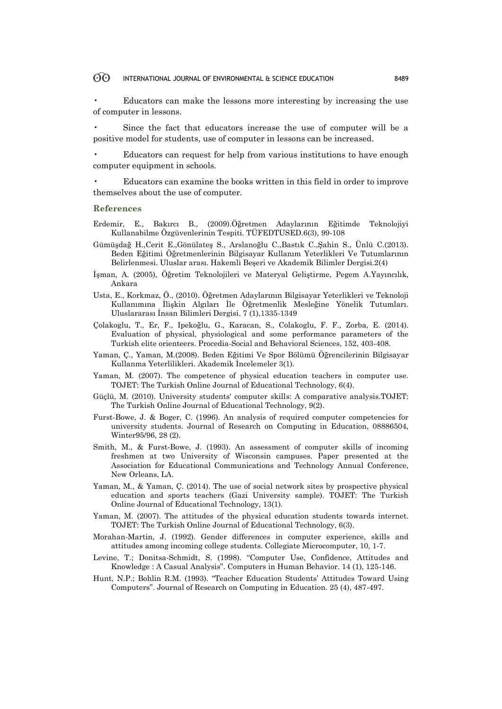• Educators can make the lessons more interesting by increasing the use of computer in lessons.

• Since the fact that educators increase the use of computer will be a positive model for students, use of computer in lessons can be increased.

• Educators can request for help from various institutions to have enough computer equipment in schools.

• Educators can examine the books written in this field in order to improve themselves about the use of computer.

### **References**

- Erdemir, E., Bakırcı B., (2009).Öğretmen Adaylarının Eğitimde Teknolojiyi Kullanabilme Özgüvenlerinin Tespiti. TÜFEDTUSED.6(3), 99-108
- Gümüşdağ H.,Cerit E.,Gönülateş S., Arslanoğlu C.,Bastık C.,Şahin S., Ünlü C.(2013). Beden Eğitimi Öğretmenlerinin Bilgisayar Kullanım Yeterlikleri Ve Tutumlarının Belirlenmesi. Uluslar arası. Hakemli Beşeri ve Akademik Bilimler Dergisi.2(4)
- İşman, A. (2005), Öğretim Teknolojileri ve Materyal Geliştirme, Pegem A.Yayıncılık, Ankara
- Usta, E., Korkmaz, Ö., (2010). Öğretmen Adaylarının Bilgisayar Yeterlikleri ve Teknoloji Kullanımına İlişkin Algıları İle Öğretmenlik Mesleğine Yönelik Tutumları. Uluslararası İnsan Bilimleri Dergisi. 7 (1),1335-1349
- Çolakoglu, T., Er, F., Ipekoğlu, G., Karacan, S., Colakoglu, F. F., Zorba, E. (2014). Evaluation of physical, physiological and some performance parameters of the Turkish elite orienteers. Procedia-Social and Behavioral Sciences, 152, 403-408.
- Yaman, Ç., Yaman, M.(2008). Beden Eğitimi Ve Spor Bölümü Öğrencilerinin Bilgisayar Kullanma Yeterlilikleri. Akademik İncelemeler 3(1).
- Yaman, M. (2007). The competence of physical education teachers in computer use. TOJET: The Turkish Online Journal of Educational Technology, 6(4).
- Güçlü, M. (2010). University students' computer skills: A comparative analysis.TOJET: The Turkish Online Journal of Educational Technology, 9(2).
- Furst-Bowe, J. & Boger, C. (1996). An analysis of required computer competencies for university students. Journal of Research on Computing in Education, 08886504, Winter95/96, 28 (2).
- Smith, M., & Furst-Bowe, J. (1993). An assessment of computer skills of incoming freshmen at two University of Wisconsin campuses. Paper presented at the Association for Educational Communications and Technology Annual Conference, New Orleans, LA.
- Yaman, M., & Yaman, Ç. (2014). The use of social network sites by prospective physical education and sports teachers (Gazi University sample). TOJET: The Turkish Online Journal of Educational Technology, 13(1).
- Yaman, M. (2007). The attitudes of the physical education students towards internet. TOJET: The Turkish Online Journal of Educational Technology, 6(3).
- Morahan-Martin, J. (1992). Gender differences in computer experience, skills and attitudes among incoming college students. Collegiate Microcomputer, 10, 1-7.
- Levine, T.; Donitsa-Schmidt, S. (1998). "Computer Use, Confidence, Attitudes and Knowledge : A Casual Analysis". Computers in Human Behavior. 14 (1), 125-146.
- Hunt, N.P.; Bohlin R.M. (1993). "Teacher Education Students' Attitudes Toward Using Computers". Journal of Research on Computing in Education. 25 (4), 487-497.